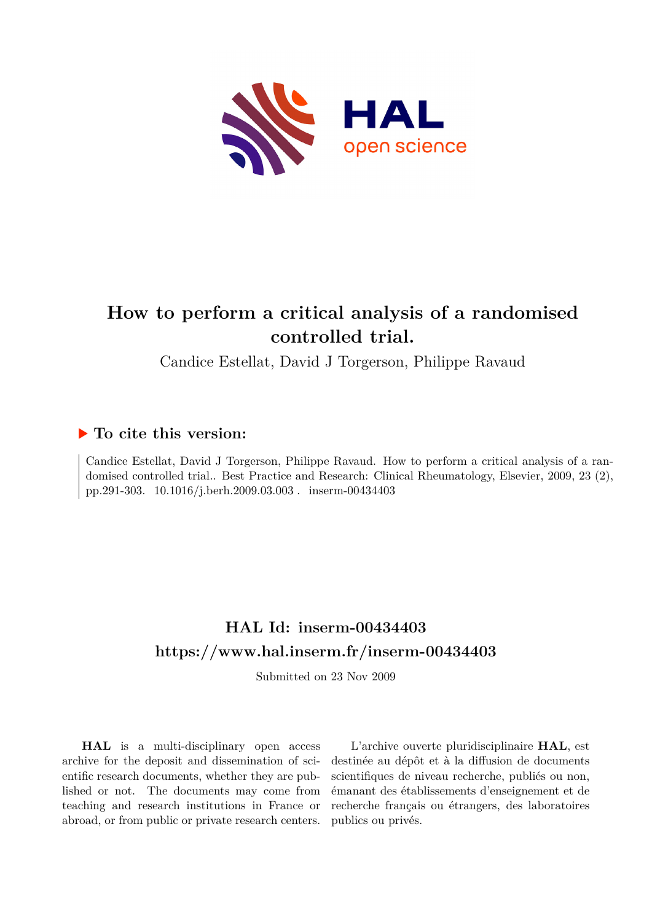

# **How to perform a critical analysis of a randomised controlled trial.**

Candice Estellat, David J Torgerson, Philippe Ravaud

# **To cite this version:**

Candice Estellat, David J Torgerson, Philippe Ravaud. How to perform a critical analysis of a randomised controlled trial.. Best Practice and Research: Clinical Rheumatology, Elsevier, 2009, 23 (2), pp.291-303. 10.1016/j.berh.2009.03.003 . inserm-00434403

# **HAL Id: inserm-00434403 <https://www.hal.inserm.fr/inserm-00434403>**

Submitted on 23 Nov 2009

**HAL** is a multi-disciplinary open access archive for the deposit and dissemination of scientific research documents, whether they are published or not. The documents may come from teaching and research institutions in France or abroad, or from public or private research centers.

L'archive ouverte pluridisciplinaire **HAL**, est destinée au dépôt et à la diffusion de documents scientifiques de niveau recherche, publiés ou non, émanant des établissements d'enseignement et de recherche français ou étrangers, des laboratoires publics ou privés.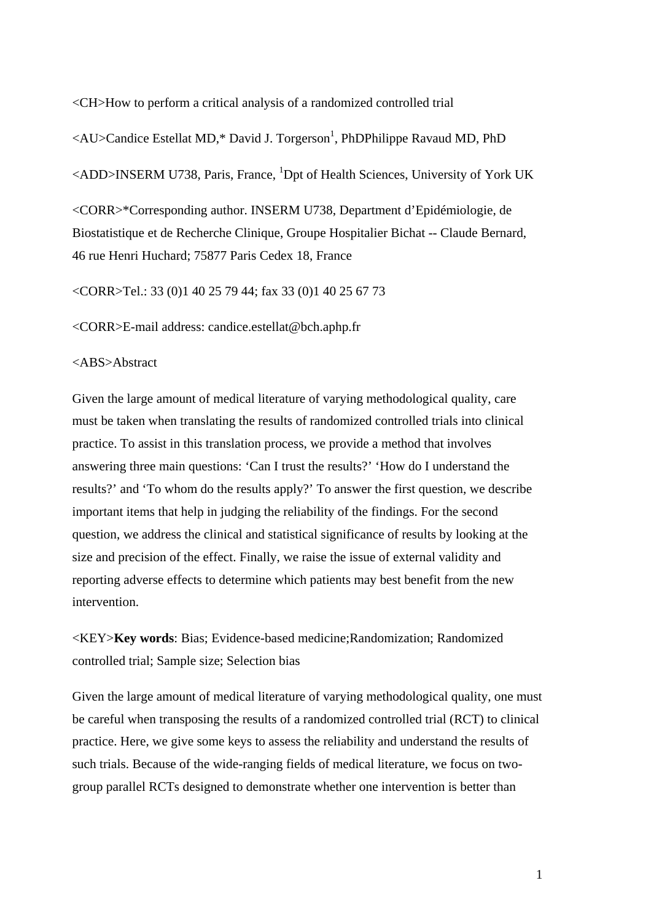<CH>How to perform a critical analysis of a randomized controlled trial

 $\langle \text{AU}\rangle$ Candice Estellat MD,\* David J. Torgerson<sup>1</sup>, PhDPhilippe Ravaud MD, PhD

<ADD>INSERM U738, Paris, France, <sup>1</sup>Dpt of Health Sciences, University of York UK

<CORR>\*Corresponding author. INSERM U738, Department d'Epidémiologie, de Biostatistique et de Recherche Clinique, Groupe Hospitalier Bichat -- Claude Bernard, 46 rue Henri Huchard; 75877 Paris Cedex 18, France

<CORR>Tel.: 33 (0)1 40 25 79 44; fax 33 (0)1 40 25 67 73

<CORR>E-mail address: candice.estellat@bch.aphp.fr

#### <ABS>Abstract

Given the large amount of medical literature of varying methodological quality, care must be taken when translating the results of randomized controlled trials into clinical practice. To assist in this translation process, we provide a method that involves answering three main questions: 'Can I trust the results?' 'How do I understand the results?' and 'To whom do the results apply?' To answer the first question, we describe important items that help in judging the reliability of the findings. For the second question, we address the clinical and statistical significance of results by looking at the size and precision of the effect. Finally, we raise the issue of external validity and reporting adverse effects to determine which patients may best benefit from the new intervention.

<KEY>**Key words**: Bias; Evidence-based medicine;Randomization; Randomized controlled trial; Sample size; Selection bias

Given the large amount of medical literature of varying methodological quality, one must be careful when transposing the results of a randomized controlled trial (RCT) to clinical practice. Here, we give some keys to assess the reliability and understand the results of such trials. Because of the wide-ranging fields of medical literature, we focus on twogroup parallel RCTs designed to demonstrate whether one intervention is better than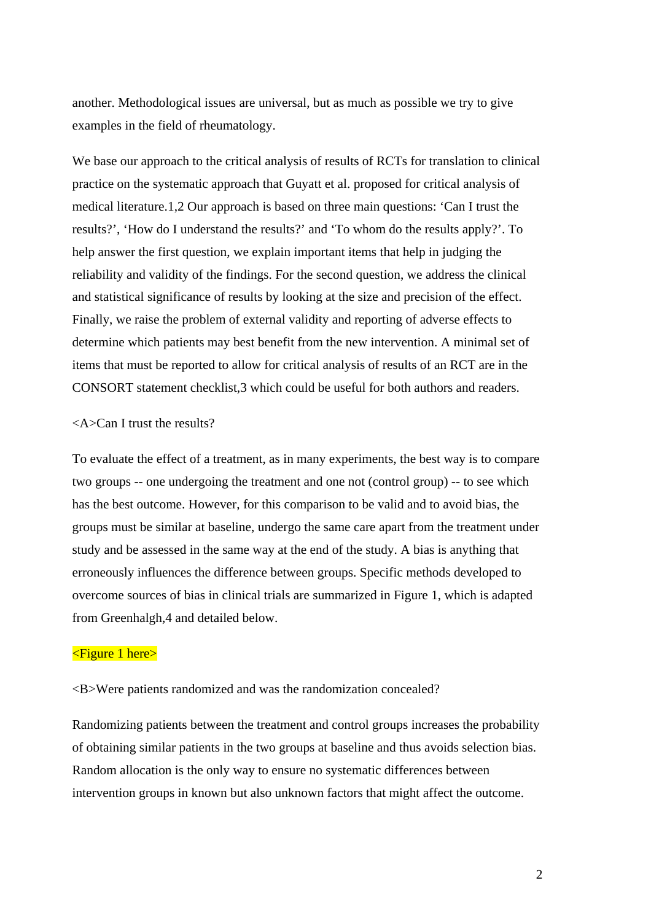another. Methodological issues are universal, but as much as possible we try to give examples in the field of rheumatology.

We base our approach to the critical analysis of results of RCTs for translation to clinical practice on the systematic approach that Guyatt et al. proposed for critical analysis of medical literature.1,2 Our approach is based on three main questions: 'Can I trust the results?', 'How do I understand the results?' and 'To whom do the results apply?'. To help answer the first question, we explain important items that help in judging the reliability and validity of the findings. For the second question, we address the clinical and statistical significance of results by looking at the size and precision of the effect. Finally, we raise the problem of external validity and reporting of adverse effects to determine which patients may best benefit from the new intervention. A minimal set of items that must be reported to allow for critical analysis of results of an RCT are in the CONSORT statement checklist,3 which could be useful for both authors and readers.

#### <A>Can I trust the results?

To evaluate the effect of a treatment, as in many experiments, the best way is to compare two groups -- one undergoing the treatment and one not (control group) -- to see which has the best outcome. However, for this comparison to be valid and to avoid bias, the groups must be similar at baseline, undergo the same care apart from the treatment under study and be assessed in the same way at the end of the study. A bias is anything that erroneously influences the difference between groups. Specific methods developed to overcome sources of bias in clinical trials are summarized in Figure 1, which is adapted from Greenhalgh,4 and detailed below.

# <Figure 1 here>

<B>Were patients randomized and was the randomization concealed?

Randomizing patients between the treatment and control groups increases the probability of obtaining similar patients in the two groups at baseline and thus avoids selection bias. Random allocation is the only way to ensure no systematic differences between intervention groups in known but also unknown factors that might affect the outcome.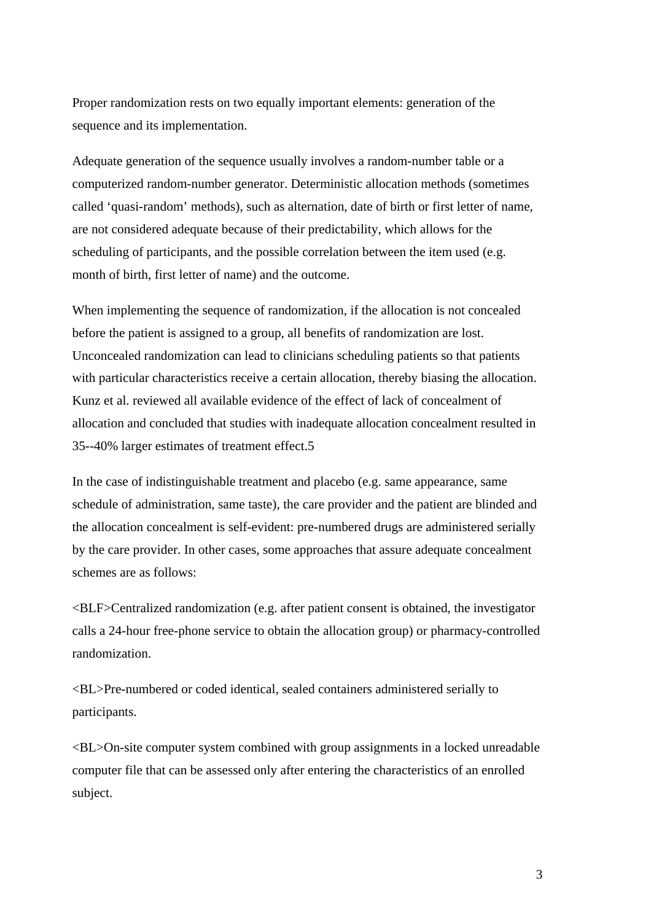Proper randomization rests on two equally important elements: generation of the sequence and its implementation.

Adequate generation of the sequence usually involves a random-number table or a computerized random-number generator. Deterministic allocation methods (sometimes called 'quasi-random' methods), such as alternation, date of birth or first letter of name, are not considered adequate because of their predictability, which allows for the scheduling of participants, and the possible correlation between the item used (e.g. month of birth, first letter of name) and the outcome.

When implementing the sequence of randomization, if the allocation is not concealed before the patient is assigned to a group, all benefits of randomization are lost. Unconcealed randomization can lead to clinicians scheduling patients so that patients with particular characteristics receive a certain allocation, thereby biasing the allocation. Kunz et al. reviewed all available evidence of the effect of lack of concealment of allocation and concluded that studies with inadequate allocation concealment resulted in 35--40% larger estimates of treatment effect.5

In the case of indistinguishable treatment and placebo (e.g. same appearance, same schedule of administration, same taste), the care provider and the patient are blinded and the allocation concealment is self-evident: pre-numbered drugs are administered serially by the care provider. In other cases, some approaches that assure adequate concealment schemes are as follows:

<BLF>Centralized randomization (e.g. after patient consent is obtained, the investigator calls a 24-hour free-phone service to obtain the allocation group) or pharmacy-controlled randomization.

<BL>Pre-numbered or coded identical, sealed containers administered serially to participants.

<BL>On-site computer system combined with group assignments in a locked unreadable computer file that can be assessed only after entering the characteristics of an enrolled subject.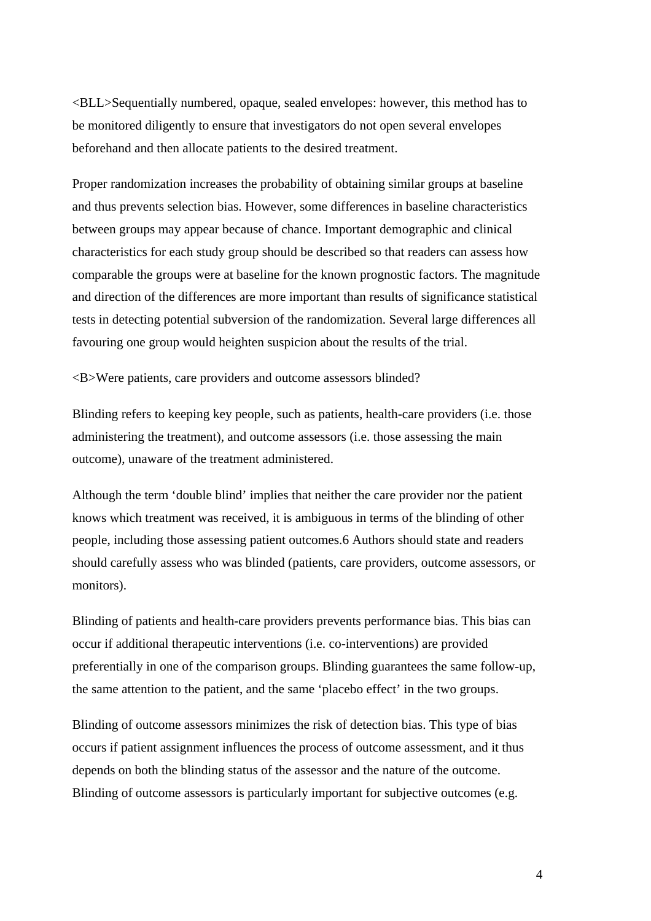<BLL>Sequentially numbered, opaque, sealed envelopes: however, this method has to be monitored diligently to ensure that investigators do not open several envelopes beforehand and then allocate patients to the desired treatment.

Proper randomization increases the probability of obtaining similar groups at baseline and thus prevents selection bias. However, some differences in baseline characteristics between groups may appear because of chance. Important demographic and clinical characteristics for each study group should be described so that readers can assess how comparable the groups were at baseline for the known prognostic factors. The magnitude and direction of the differences are more important than results of significance statistical tests in detecting potential subversion of the randomization. Several large differences all favouring one group would heighten suspicion about the results of the trial.

<B>Were patients, care providers and outcome assessors blinded?

Blinding refers to keeping key people, such as patients, health-care providers (i.e. those administering the treatment), and outcome assessors (i.e. those assessing the main outcome), unaware of the treatment administered.

Although the term 'double blind' implies that neither the care provider nor the patient knows which treatment was received, it is ambiguous in terms of the blinding of other people, including those assessing patient outcomes.6 Authors should state and readers should carefully assess who was blinded (patients, care providers, outcome assessors, or monitors).

Blinding of patients and health-care providers prevents performance bias. This bias can occur if additional therapeutic interventions (i.e. co-interventions) are provided preferentially in one of the comparison groups. Blinding guarantees the same follow-up, the same attention to the patient, and the same 'placebo effect' in the two groups.

Blinding of outcome assessors minimizes the risk of detection bias. This type of bias occurs if patient assignment influences the process of outcome assessment, and it thus depends on both the blinding status of the assessor and the nature of the outcome. Blinding of outcome assessors is particularly important for subjective outcomes (e.g.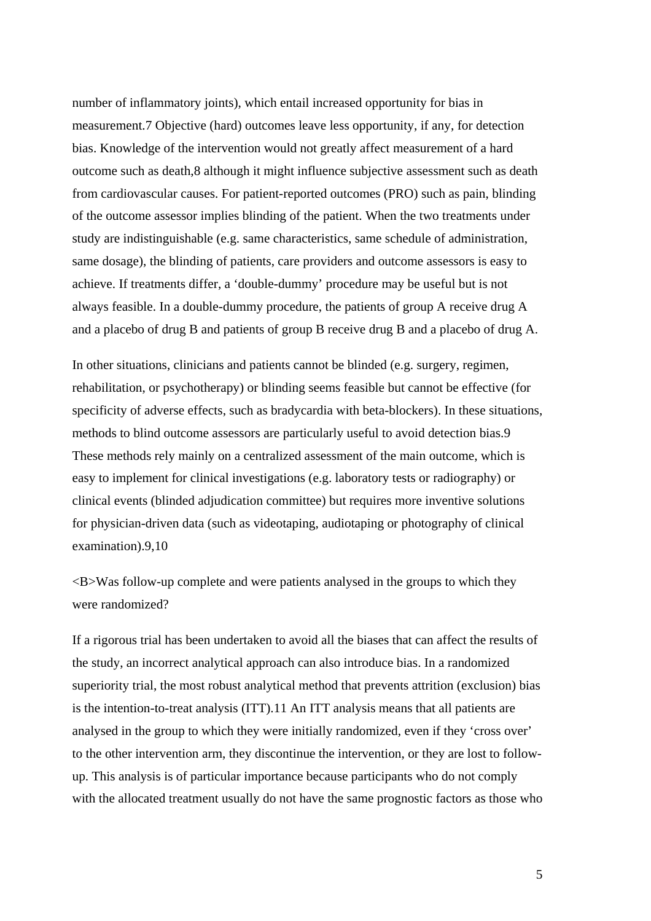number of inflammatory joints), which entail increased opportunity for bias in measurement.7 Objective (hard) outcomes leave less opportunity, if any, for detection bias. Knowledge of the intervention would not greatly affect measurement of a hard outcome such as death,8 although it might influence subjective assessment such as death from cardiovascular causes. For patient-reported outcomes (PRO) such as pain, blinding of the outcome assessor implies blinding of the patient. When the two treatments under study are indistinguishable (e.g. same characteristics, same schedule of administration, same dosage), the blinding of patients, care providers and outcome assessors is easy to achieve. If treatments differ, a 'double-dummy' procedure may be useful but is not always feasible. In a double-dummy procedure, the patients of group A receive drug A and a placebo of drug B and patients of group B receive drug B and a placebo of drug A.

In other situations, clinicians and patients cannot be blinded (e.g. surgery, regimen, rehabilitation, or psychotherapy) or blinding seems feasible but cannot be effective (for specificity of adverse effects, such as bradycardia with beta-blockers). In these situations, methods to blind outcome assessors are particularly useful to avoid detection bias.9 These methods rely mainly on a centralized assessment of the main outcome, which is easy to implement for clinical investigations (e.g. laboratory tests or radiography) or clinical events (blinded adjudication committee) but requires more inventive solutions for physician-driven data (such as videotaping, audiotaping or photography of clinical examination).9,10

<B>Was follow-up complete and were patients analysed in the groups to which they were randomized?

If a rigorous trial has been undertaken to avoid all the biases that can affect the results of the study, an incorrect analytical approach can also introduce bias. In a randomized superiority trial, the most robust analytical method that prevents attrition (exclusion) bias is the intention-to-treat analysis (ITT).11 An ITT analysis means that all patients are analysed in the group to which they were initially randomized, even if they 'cross over' to the other intervention arm, they discontinue the intervention, or they are lost to followup. This analysis is of particular importance because participants who do not comply with the allocated treatment usually do not have the same prognostic factors as those who

5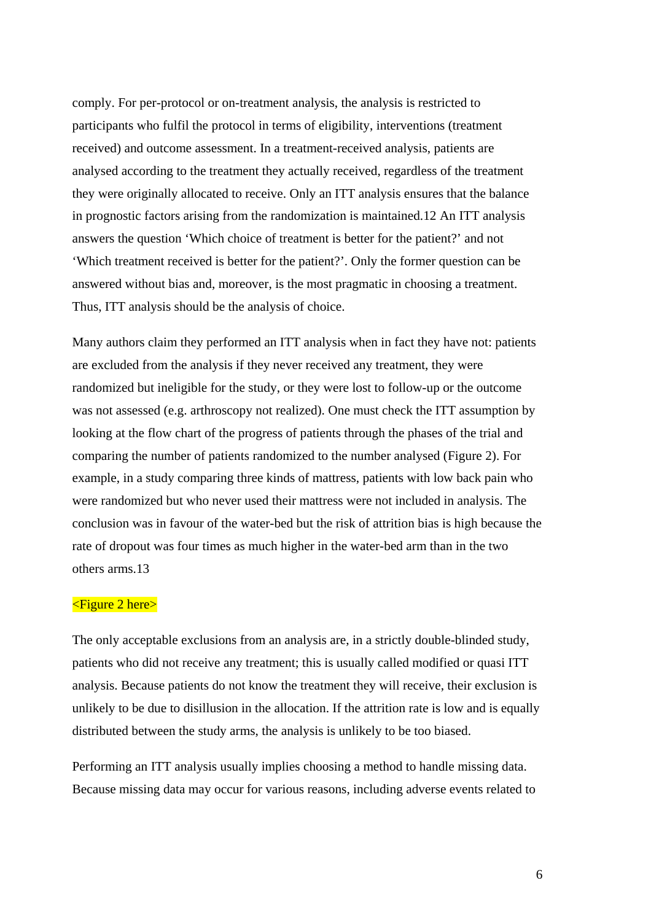comply. For per-protocol or on-treatment analysis, the analysis is restricted to participants who fulfil the protocol in terms of eligibility, interventions (treatment received) and outcome assessment. In a treatment-received analysis, patients are analysed according to the treatment they actually received, regardless of the treatment they were originally allocated to receive. Only an ITT analysis ensures that the balance in prognostic factors arising from the randomization is maintained.12 An ITT analysis answers the question 'Which choice of treatment is better for the patient?' and not 'Which treatment received is better for the patient?'. Only the former question can be answered without bias and, moreover, is the most pragmatic in choosing a treatment. Thus, ITT analysis should be the analysis of choice.

Many authors claim they performed an ITT analysis when in fact they have not: patients are excluded from the analysis if they never received any treatment, they were randomized but ineligible for the study, or they were lost to follow-up or the outcome was not assessed (e.g. arthroscopy not realized). One must check the ITT assumption by looking at the flow chart of the progress of patients through the phases of the trial and comparing the number of patients randomized to the number analysed (Figure 2). For example, in a study comparing three kinds of mattress, patients with low back pain who were randomized but who never used their mattress were not included in analysis. The conclusion was in favour of the water-bed but the risk of attrition bias is high because the rate of dropout was four times as much higher in the water-bed arm than in the two others arms.13

# <Figure 2 here>

The only acceptable exclusions from an analysis are, in a strictly double-blinded study, patients who did not receive any treatment; this is usually called modified or quasi ITT analysis. Because patients do not know the treatment they will receive, their exclusion is unlikely to be due to disillusion in the allocation. If the attrition rate is low and is equally distributed between the study arms, the analysis is unlikely to be too biased.

Performing an ITT analysis usually implies choosing a method to handle missing data. Because missing data may occur for various reasons, including adverse events related to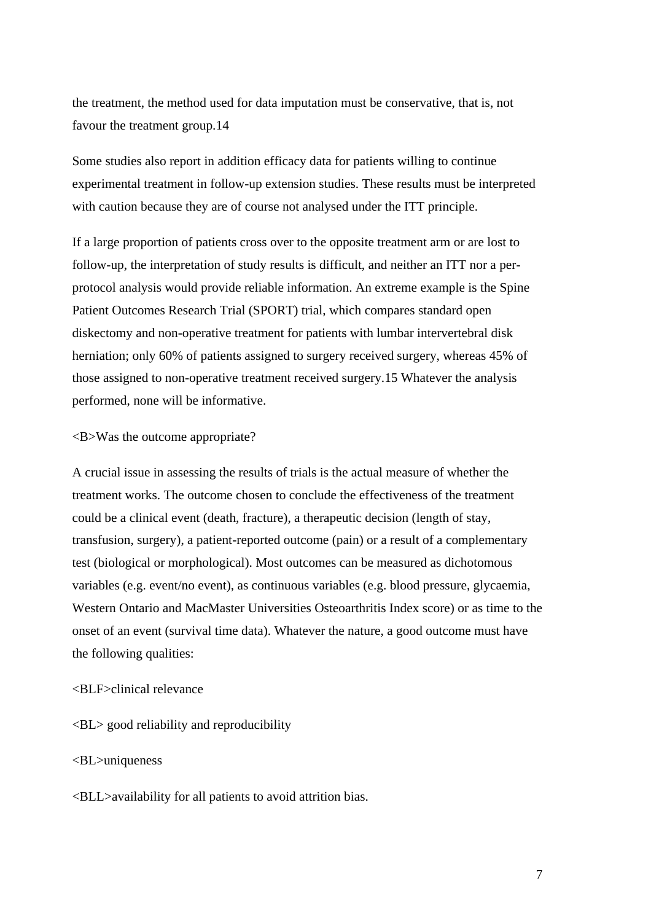the treatment, the method used for data imputation must be conservative, that is, not favour the treatment group.14

Some studies also report in addition efficacy data for patients willing to continue experimental treatment in follow-up extension studies. These results must be interpreted with caution because they are of course not analysed under the ITT principle.

If a large proportion of patients cross over to the opposite treatment arm or are lost to follow-up, the interpretation of study results is difficult, and neither an ITT nor a perprotocol analysis would provide reliable information. An extreme example is the Spine Patient Outcomes Research Trial (SPORT) trial, which compares standard open diskectomy and non-operative treatment for patients with lumbar intervertebral disk herniation; only 60% of patients assigned to surgery received surgery, whereas 45% of those assigned to non-operative treatment received surgery.15 Whatever the analysis performed, none will be informative.

# <B>Was the outcome appropriate?

A crucial issue in assessing the results of trials is the actual measure of whether the treatment works. The outcome chosen to conclude the effectiveness of the treatment could be a clinical event (death, fracture), a therapeutic decision (length of stay, transfusion, surgery), a patient-reported outcome (pain) or a result of a complementary test (biological or morphological). Most outcomes can be measured as dichotomous variables (e.g. event/no event), as continuous variables (e.g. blood pressure, glycaemia, Western Ontario and MacMaster Universities Osteoarthritis Index score) or as time to the onset of an event (survival time data). Whatever the nature, a good outcome must have the following qualities:

# <BLF>clinical relevance

<BL> good reliability and reproducibility

#### <BL>uniqueness

<BLL>availability for all patients to avoid attrition bias.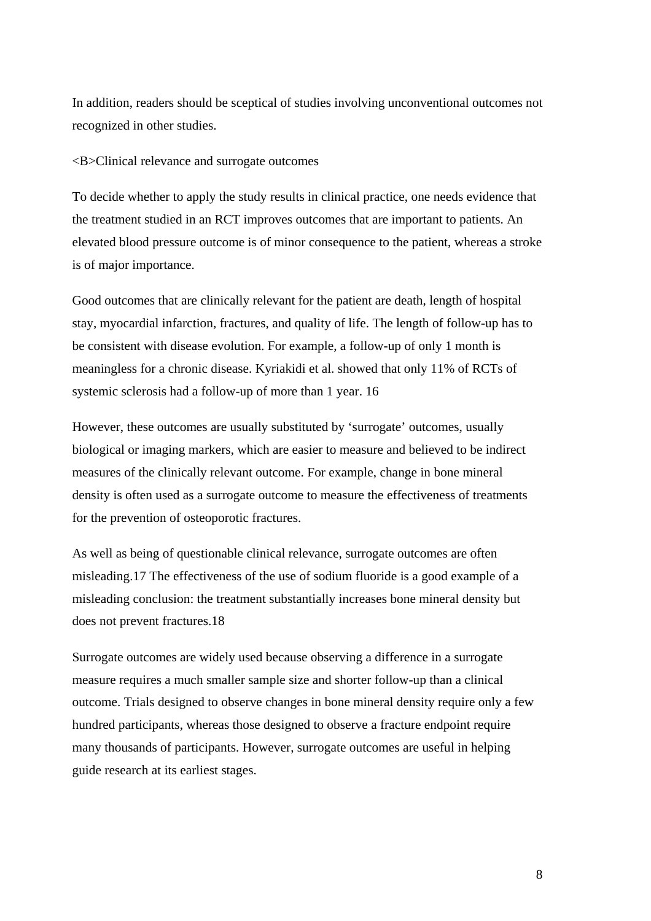In addition, readers should be sceptical of studies involving unconventional outcomes not recognized in other studies.

<B>Clinical relevance and surrogate outcomes

To decide whether to apply the study results in clinical practice, one needs evidence that the treatment studied in an RCT improves outcomes that are important to patients. An elevated blood pressure outcome is of minor consequence to the patient, whereas a stroke is of major importance.

Good outcomes that are clinically relevant for the patient are death, length of hospital stay, myocardial infarction, fractures, and quality of life. The length of follow-up has to be consistent with disease evolution. For example, a follow-up of only 1 month is meaningless for a chronic disease. Kyriakidi et al. showed that only 11% of RCTs of systemic sclerosis had a follow-up of more than 1 year. 16

However, these outcomes are usually substituted by 'surrogate' outcomes, usually biological or imaging markers, which are easier to measure and believed to be indirect measures of the clinically relevant outcome. For example, change in bone mineral density is often used as a surrogate outcome to measure the effectiveness of treatments for the prevention of osteoporotic fractures.

As well as being of questionable clinical relevance, surrogate outcomes are often misleading.17 The effectiveness of the use of sodium fluoride is a good example of a misleading conclusion: the treatment substantially increases bone mineral density but does not prevent fractures.18

Surrogate outcomes are widely used because observing a difference in a surrogate measure requires a much smaller sample size and shorter follow-up than a clinical outcome. Trials designed to observe changes in bone mineral density require only a few hundred participants, whereas those designed to observe a fracture endpoint require many thousands of participants. However, surrogate outcomes are useful in helping guide research at its earliest stages.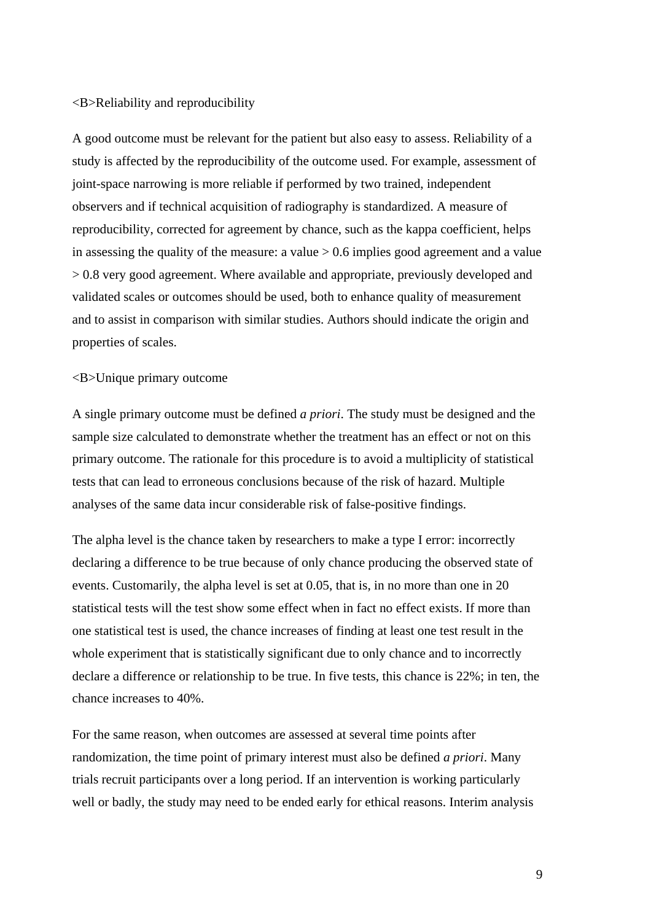#### <B>Reliability and reproducibility

A good outcome must be relevant for the patient but also easy to assess. Reliability of a study is affected by the reproducibility of the outcome used. For example, assessment of joint-space narrowing is more reliable if performed by two trained, independent observers and if technical acquisition of radiography is standardized. A measure of reproducibility, corrected for agreement by chance, such as the kappa coefficient, helps in assessing the quality of the measure: a value > 0.6 implies good agreement and a value > 0.8 very good agreement. Where available and appropriate, previously developed and validated scales or outcomes should be used, both to enhance quality of measurement and to assist in comparison with similar studies. Authors should indicate the origin and properties of scales.

# <B>Unique primary outcome

A single primary outcome must be defined *a priori*. The study must be designed and the sample size calculated to demonstrate whether the treatment has an effect or not on this primary outcome. The rationale for this procedure is to avoid a multiplicity of statistical tests that can lead to erroneous conclusions because of the risk of hazard. Multiple analyses of the same data incur considerable risk of false-positive findings.

The alpha level is the chance taken by researchers to make a type I error: incorrectly declaring a difference to be true because of only chance producing the observed state of events. Customarily, the alpha level is set at 0.05, that is, in no more than one in 20 statistical tests will the test show some effect when in fact no effect exists. If more than one statistical test is used, the chance increases of finding at least one test result in the whole experiment that is statistically significant due to only chance and to incorrectly declare a difference or relationship to be true. In five tests, this chance is 22%; in ten, the chance increases to 40%.

For the same reason, when outcomes are assessed at several time points after randomization, the time point of primary interest must also be defined *a priori*. Many trials recruit participants over a long period. If an intervention is working particularly well or badly, the study may need to be ended early for ethical reasons. Interim analysis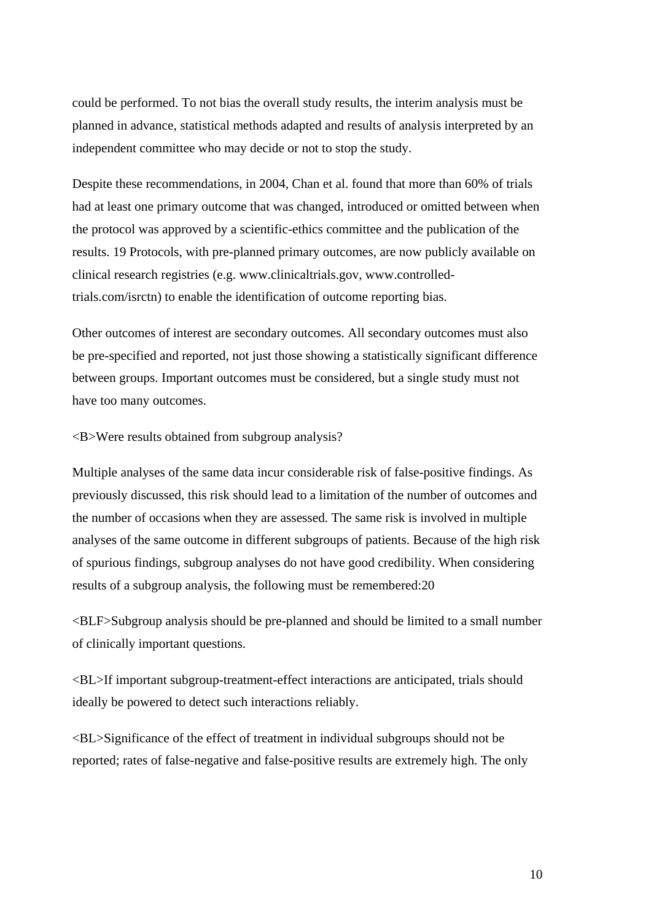could be performed. To not bias the overall study results, the interim analysis must be planned in advance, statistical methods adapted and results of analysis interpreted by an independent committee who may decide or not to stop the study.

Despite these recommendations, in 2004, Chan et al. found that more than 60% of trials had at least one primary outcome that was changed, introduced or omitted between when the protocol was approved by a scientific-ethics committee and the publication of the results. 19 Protocols, with pre-planned primary outcomes, are now publicly available on clinical research registries (e.g. www.clinicaltrials.gov, www.controlledtrials.com/isrctn) to enable the identification of outcome reporting bias.

Other outcomes of interest are secondary outcomes. All secondary outcomes must also be pre-specified and reported, not just those showing a statistically significant difference between groups. Important outcomes must be considered, but a single study must not have too many outcomes.

#### <B>Were results obtained from subgroup analysis?

Multiple analyses of the same data incur considerable risk of false-positive findings. As previously discussed, this risk should lead to a limitation of the number of outcomes and the number of occasions when they are assessed. The same risk is involved in multiple analyses of the same outcome in different subgroups of patients. Because of the high risk of spurious findings, subgroup analyses do not have good credibility. When considering results of a subgroup analysis, the following must be remembered:20

<BLF>Subgroup analysis should be pre-planned and should be limited to a small number of clinically important questions.

<BL>If important subgroup-treatment-effect interactions are anticipated, trials should ideally be powered to detect such interactions reliably.

<BL>Significance of the effect of treatment in individual subgroups should not be reported; rates of false-negative and false-positive results are extremely high. The only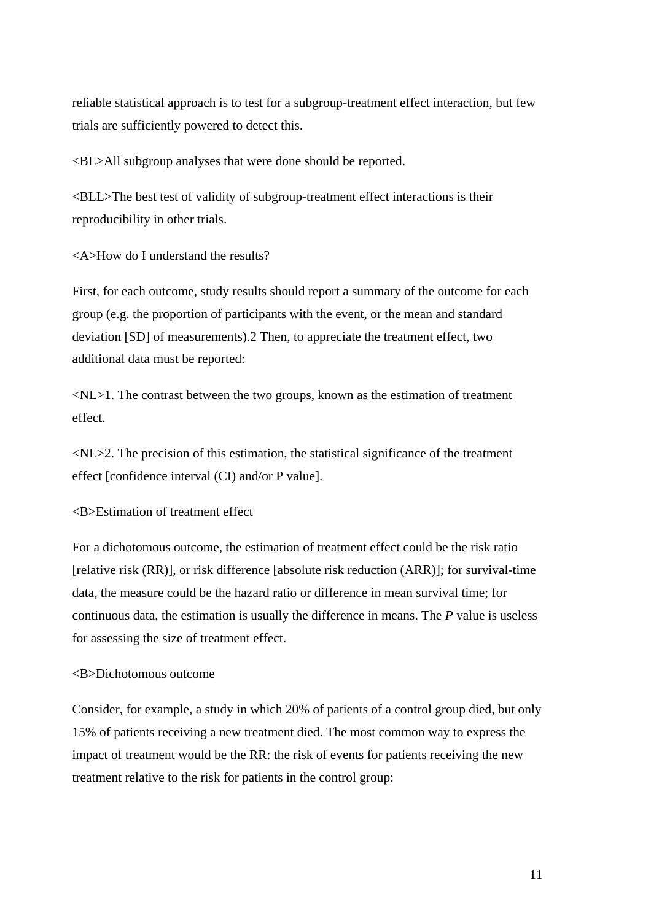reliable statistical approach is to test for a subgroup-treatment effect interaction, but few trials are sufficiently powered to detect this.

<BL>All subgroup analyses that were done should be reported.

<BLL>The best test of validity of subgroup-treatment effect interactions is their reproducibility in other trials.

<A>How do I understand the results?

First, for each outcome, study results should report a summary of the outcome for each group (e.g. the proportion of participants with the event, or the mean and standard deviation [SD] of measurements).2 Then, to appreciate the treatment effect, two additional data must be reported:

 $\langle NL \rangle$ 1. The contrast between the two groups, known as the estimation of treatment effect.

 $\langle NL \rangle$  The precision of this estimation, the statistical significance of the treatment effect [confidence interval (CI) and/or P value].

<B>Estimation of treatment effect

For a dichotomous outcome, the estimation of treatment effect could be the risk ratio [relative risk (RR)], or risk difference [absolute risk reduction (ARR)]; for survival-time data, the measure could be the hazard ratio or difference in mean survival time; for continuous data, the estimation is usually the difference in means. The *P* value is useless for assessing the size of treatment effect.

# <B>Dichotomous outcome

Consider, for example, a study in which 20% of patients of a control group died, but only 15% of patients receiving a new treatment died. The most common way to express the impact of treatment would be the RR: the risk of events for patients receiving the new treatment relative to the risk for patients in the control group: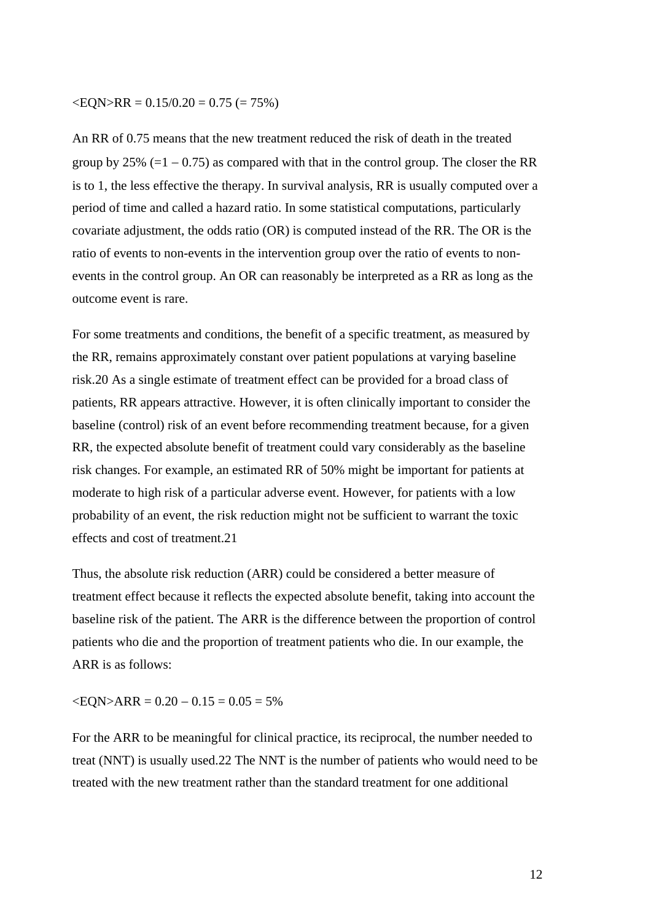#### $\langle EQN \rangle RR = 0.15/0.20 = 0.75 (= 75%)$

An RR of 0.75 means that the new treatment reduced the risk of death in the treated group by 25% (=1 – 0.75) as compared with that in the control group. The closer the RR is to 1, the less effective the therapy. In survival analysis, RR is usually computed over a period of time and called a hazard ratio. In some statistical computations, particularly covariate adjustment, the odds ratio (OR) is computed instead of the RR. The OR is the ratio of events to non-events in the intervention group over the ratio of events to nonevents in the control group. An OR can reasonably be interpreted as a RR as long as the outcome event is rare.

For some treatments and conditions, the benefit of a specific treatment, as measured by the RR, remains approximately constant over patient populations at varying baseline risk.20 As a single estimate of treatment effect can be provided for a broad class of patients, RR appears attractive. However, it is often clinically important to consider the baseline (control) risk of an event before recommending treatment because, for a given RR, the expected absolute benefit of treatment could vary considerably as the baseline risk changes. For example, an estimated RR of 50% might be important for patients at moderate to high risk of a particular adverse event. However, for patients with a low probability of an event, the risk reduction might not be sufficient to warrant the toxic effects and cost of treatment.21

Thus, the absolute risk reduction (ARR) could be considered a better measure of treatment effect because it reflects the expected absolute benefit, taking into account the baseline risk of the patient. The ARR is the difference between the proportion of control patients who die and the proportion of treatment patients who die. In our example, the ARR is as follows:

 $\angle EON > ARR = 0.20 - 0.15 = 0.05 = 5\%$ 

For the ARR to be meaningful for clinical practice, its reciprocal, the number needed to treat (NNT) is usually used.22 The NNT is the number of patients who would need to be treated with the new treatment rather than the standard treatment for one additional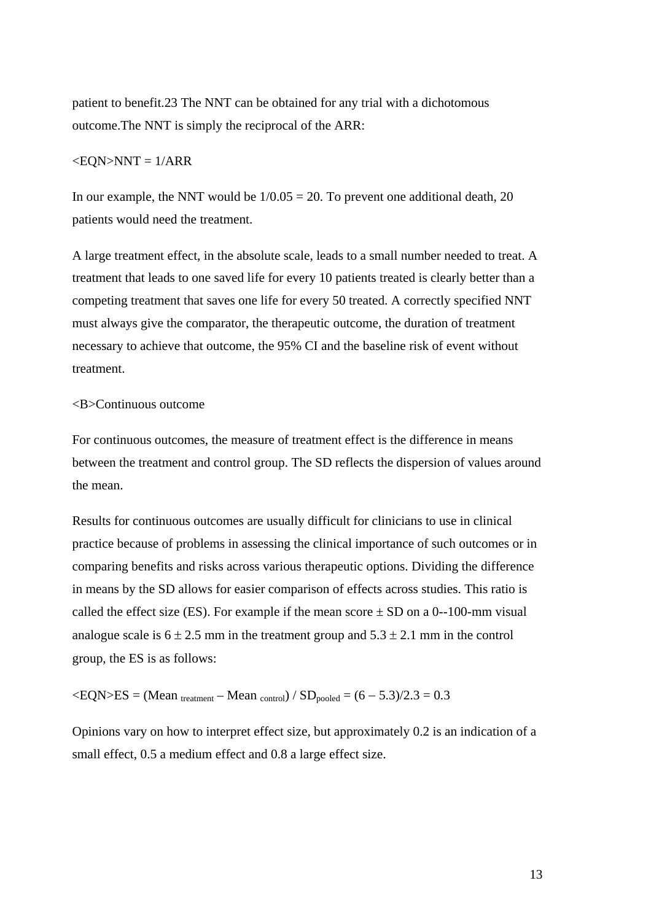patient to benefit.23 The NNT can be obtained for any trial with a dichotomous outcome.The NNT is simply the reciprocal of the ARR:

# $<$ EQN>NNT =  $1/ARR$

In our example, the NNT would be  $1/0.05 = 20$ . To prevent one additional death, 20 patients would need the treatment.

A large treatment effect, in the absolute scale, leads to a small number needed to treat. A treatment that leads to one saved life for every 10 patients treated is clearly better than a competing treatment that saves one life for every 50 treated. A correctly specified NNT must always give the comparator, the therapeutic outcome, the duration of treatment necessary to achieve that outcome, the 95% CI and the baseline risk of event without treatment.

#### <B>Continuous outcome

For continuous outcomes, the measure of treatment effect is the difference in means between the treatment and control group. The SD reflects the dispersion of values around the mean.

Results for continuous outcomes are usually difficult for clinicians to use in clinical practice because of problems in assessing the clinical importance of such outcomes or in comparing benefits and risks across various therapeutic options. Dividing the difference in means by the SD allows for easier comparison of effects across studies. This ratio is called the effect size (ES). For example if the mean score  $\pm$  SD on a 0--100-mm visual analogue scale is  $6 \pm 2.5$  mm in the treatment group and  $5.3 \pm 2.1$  mm in the control group, the ES is as follows:

 $\langle EQN \rangle ES = (Mean_{treatment} - Mean_{control}) / SD_{pooled} = (6 - 5.3)/2.3 = 0.3$ 

Opinions vary on how to interpret effect size, but approximately 0.2 is an indication of a small effect, 0.5 a medium effect and 0.8 a large effect size.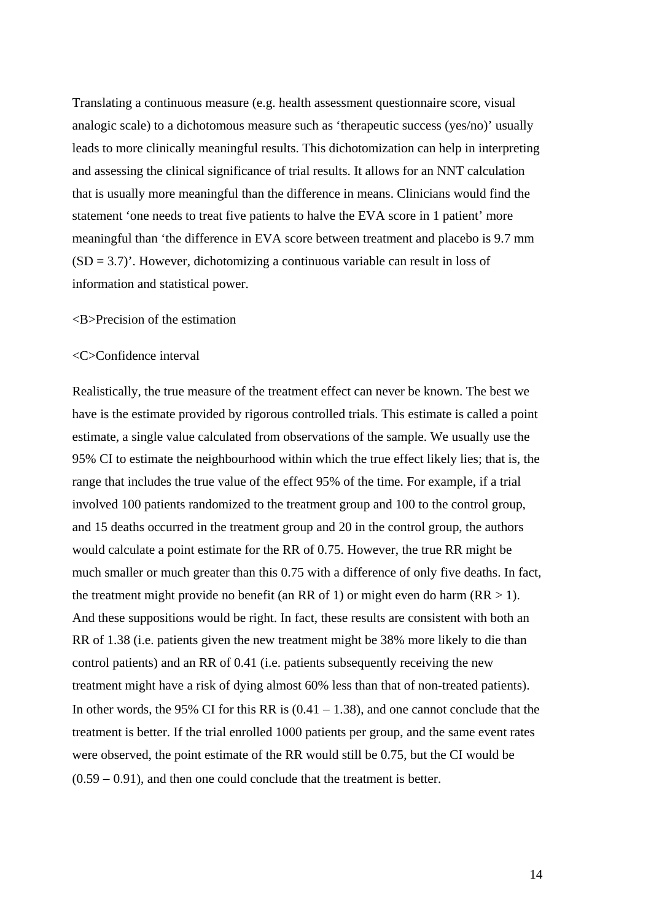Translating a continuous measure (e.g. health assessment questionnaire score, visual analogic scale) to a dichotomous measure such as 'therapeutic success (yes/no)' usually leads to more clinically meaningful results. This dichotomization can help in interpreting and assessing the clinical significance of trial results. It allows for an NNT calculation that is usually more meaningful than the difference in means. Clinicians would find the statement 'one needs to treat five patients to halve the EVA score in 1 patient' more meaningful than 'the difference in EVA score between treatment and placebo is 9.7 mm  $(SD = 3.7)$ . However, dichotomizing a continuous variable can result in loss of information and statistical power.

# <B>Precision of the estimation

#### <C>Confidence interval

Realistically, the true measure of the treatment effect can never be known. The best we have is the estimate provided by rigorous controlled trials. This estimate is called a point estimate, a single value calculated from observations of the sample. We usually use the 95% CI to estimate the neighbourhood within which the true effect likely lies; that is, the range that includes the true value of the effect 95% of the time. For example, if a trial involved 100 patients randomized to the treatment group and 100 to the control group, and 15 deaths occurred in the treatment group and 20 in the control group, the authors would calculate a point estimate for the RR of 0.75. However, the true RR might be much smaller or much greater than this 0.75 with a difference of only five deaths. In fact, the treatment might provide no benefit (an RR of 1) or might even do harm  $(RR > 1)$ . And these suppositions would be right. In fact, these results are consistent with both an RR of 1.38 (i.e. patients given the new treatment might be 38% more likely to die than control patients) and an RR of 0.41 (i.e. patients subsequently receiving the new treatment might have a risk of dying almost 60% less than that of non-treated patients). In other words, the 95% CI for this RR is  $(0.41 - 1.38)$ , and one cannot conclude that the treatment is better. If the trial enrolled 1000 patients per group, and the same event rates were observed, the point estimate of the RR would still be 0.75, but the CI would be (0.59 − 0.91), and then one could conclude that the treatment is better.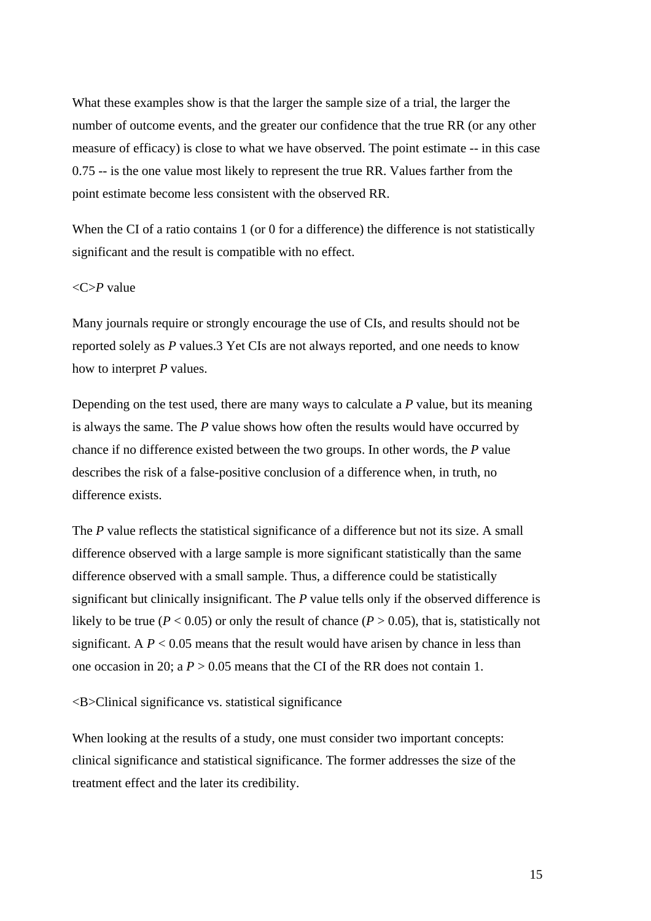What these examples show is that the larger the sample size of a trial, the larger the number of outcome events, and the greater our confidence that the true RR (or any other measure of efficacy) is close to what we have observed. The point estimate -- in this case 0.75 -- is the one value most likely to represent the true RR. Values farther from the point estimate become less consistent with the observed RR.

When the CI of a ratio contains 1 (or 0 for a difference) the difference is not statistically significant and the result is compatible with no effect.

# <C>*P* value

Many journals require or strongly encourage the use of CIs, and results should not be reported solely as *P* values.3 Yet CIs are not always reported, and one needs to know how to interpret *P* values.

Depending on the test used, there are many ways to calculate a *P* value, but its meaning is always the same. The *P* value shows how often the results would have occurred by chance if no difference existed between the two groups. In other words, the *P* value describes the risk of a false-positive conclusion of a difference when, in truth, no difference exists.

The *P* value reflects the statistical significance of a difference but not its size. A small difference observed with a large sample is more significant statistically than the same difference observed with a small sample. Thus, a difference could be statistically significant but clinically insignificant. The *P* value tells only if the observed difference is likely to be true ( $P < 0.05$ ) or only the result of chance ( $P > 0.05$ ), that is, statistically not significant. A  $P < 0.05$  means that the result would have arisen by chance in less than one occasion in 20; a  $P > 0.05$  means that the CI of the RR does not contain 1.

<B>Clinical significance vs. statistical significance

When looking at the results of a study, one must consider two important concepts: clinical significance and statistical significance. The former addresses the size of the treatment effect and the later its credibility.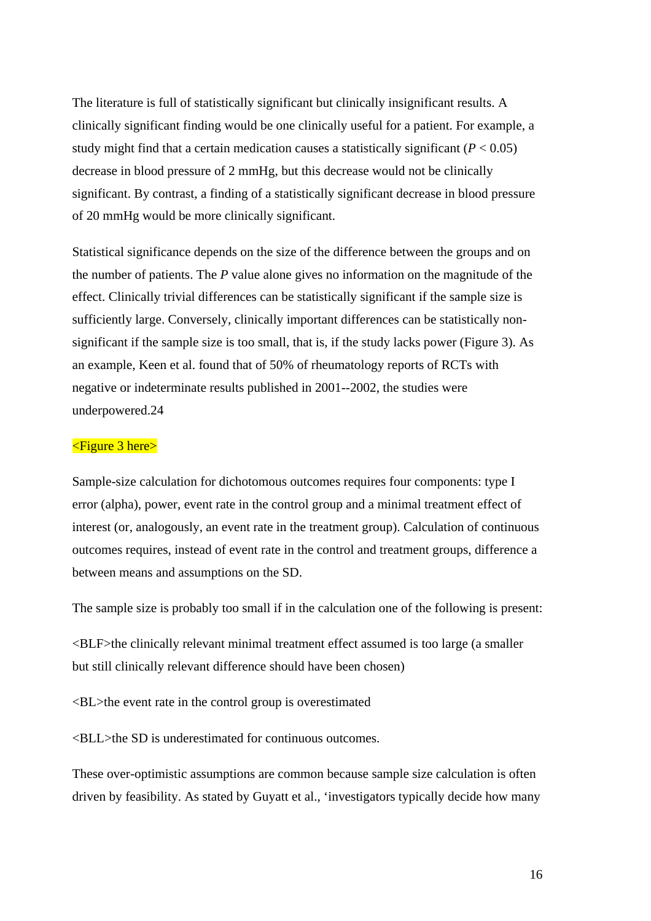The literature is full of statistically significant but clinically insignificant results. A clinically significant finding would be one clinically useful for a patient. For example, a study might find that a certain medication causes a statistically significant  $(P < 0.05)$ decrease in blood pressure of 2 mmHg, but this decrease would not be clinically significant. By contrast, a finding of a statistically significant decrease in blood pressure of 20 mmHg would be more clinically significant.

Statistical significance depends on the size of the difference between the groups and on the number of patients. The *P* value alone gives no information on the magnitude of the effect. Clinically trivial differences can be statistically significant if the sample size is sufficiently large. Conversely, clinically important differences can be statistically nonsignificant if the sample size is too small, that is, if the study lacks power (Figure 3). As an example, Keen et al. found that of 50% of rheumatology reports of RCTs with negative or indeterminate results published in 2001--2002, the studies were underpowered.24

# <Figure 3 here>

Sample-size calculation for dichotomous outcomes requires four components: type I error (alpha), power, event rate in the control group and a minimal treatment effect of interest (or, analogously, an event rate in the treatment group). Calculation of continuous outcomes requires, instead of event rate in the control and treatment groups, difference a between means and assumptions on the SD.

The sample size is probably too small if in the calculation one of the following is present:

<BLF>the clinically relevant minimal treatment effect assumed is too large (a smaller but still clinically relevant difference should have been chosen)

<BL>the event rate in the control group is overestimated

<BLL>the SD is underestimated for continuous outcomes.

These over-optimistic assumptions are common because sample size calculation is often driven by feasibility. As stated by Guyatt et al., 'investigators typically decide how many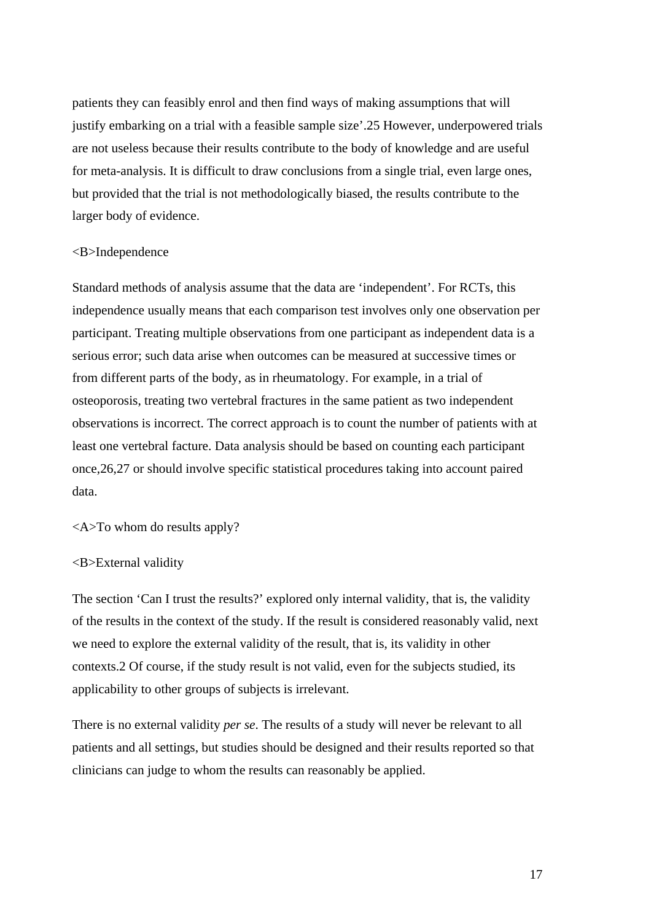patients they can feasibly enrol and then find ways of making assumptions that will justify embarking on a trial with a feasible sample size'.25 However, underpowered trials are not useless because their results contribute to the body of knowledge and are useful for meta-analysis. It is difficult to draw conclusions from a single trial, even large ones, but provided that the trial is not methodologically biased, the results contribute to the larger body of evidence.

#### <B>Independence

Standard methods of analysis assume that the data are 'independent'. For RCTs, this independence usually means that each comparison test involves only one observation per participant. Treating multiple observations from one participant as independent data is a serious error; such data arise when outcomes can be measured at successive times or from different parts of the body, as in rheumatology. For example, in a trial of osteoporosis, treating two vertebral fractures in the same patient as two independent observations is incorrect. The correct approach is to count the number of patients with at least one vertebral facture. Data analysis should be based on counting each participant once,26,27 or should involve specific statistical procedures taking into account paired data.

<A>To whom do results apply?

#### <B>External validity

The section 'Can I trust the results?' explored only internal validity, that is, the validity of the results in the context of the study. If the result is considered reasonably valid, next we need to explore the external validity of the result, that is, its validity in other contexts.2 Of course, if the study result is not valid, even for the subjects studied, its applicability to other groups of subjects is irrelevant.

There is no external validity *per se*. The results of a study will never be relevant to all patients and all settings, but studies should be designed and their results reported so that clinicians can judge to whom the results can reasonably be applied.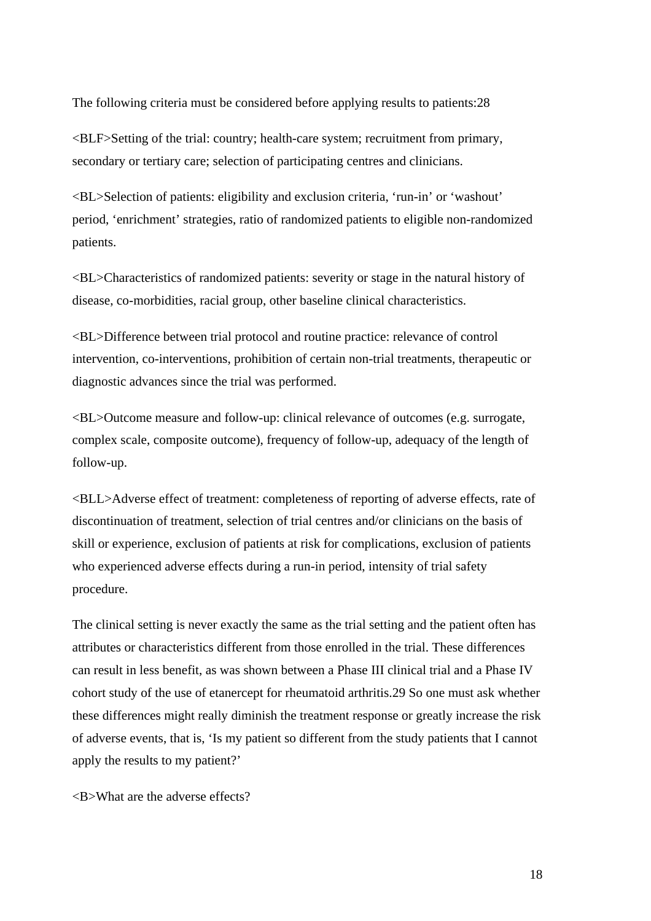The following criteria must be considered before applying results to patients:28

<BLF>Setting of the trial: country; health-care system; recruitment from primary, secondary or tertiary care; selection of participating centres and clinicians.

<BL>Selection of patients: eligibility and exclusion criteria, 'run-in' or 'washout' period, 'enrichment' strategies, ratio of randomized patients to eligible non-randomized patients.

<BL>Characteristics of randomized patients: severity or stage in the natural history of disease, co-morbidities, racial group, other baseline clinical characteristics.

<BL>Difference between trial protocol and routine practice: relevance of control intervention, co-interventions, prohibition of certain non-trial treatments, therapeutic or diagnostic advances since the trial was performed.

<BL>Outcome measure and follow-up: clinical relevance of outcomes (e.g. surrogate, complex scale, composite outcome), frequency of follow-up, adequacy of the length of follow-up.

<BLL>Adverse effect of treatment: completeness of reporting of adverse effects, rate of discontinuation of treatment, selection of trial centres and/or clinicians on the basis of skill or experience, exclusion of patients at risk for complications, exclusion of patients who experienced adverse effects during a run-in period, intensity of trial safety procedure.

The clinical setting is never exactly the same as the trial setting and the patient often has attributes or characteristics different from those enrolled in the trial. These differences can result in less benefit, as was shown between a Phase III clinical trial and a Phase IV cohort study of the use of etanercept for rheumatoid arthritis.29 So one must ask whether these differences might really diminish the treatment response or greatly increase the risk of adverse events, that is, 'Is my patient so different from the study patients that I cannot apply the results to my patient?'

 $\langle$ B $>$ What are the adverse effects?

18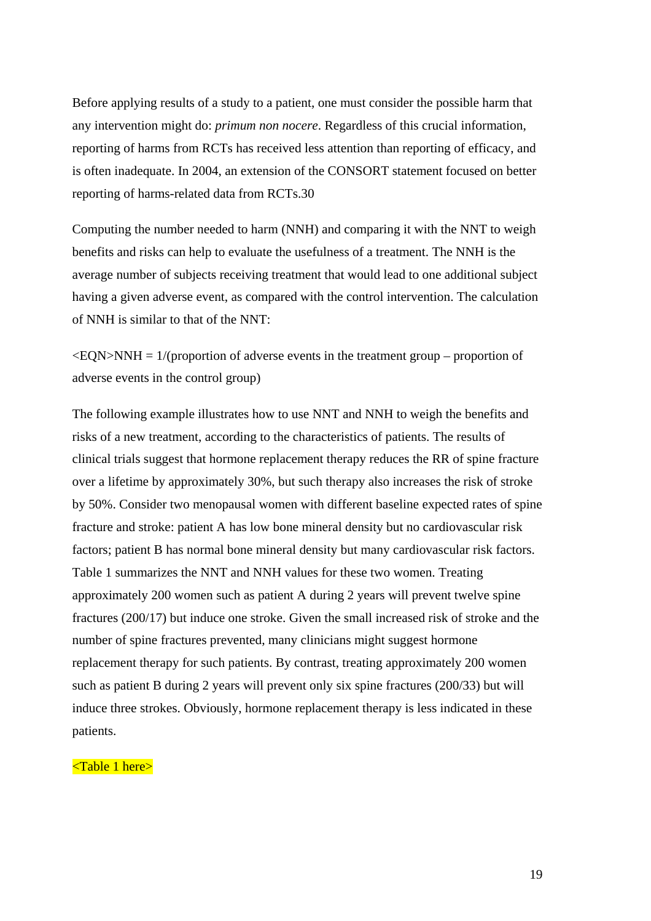Before applying results of a study to a patient, one must consider the possible harm that any intervention might do: *primum non nocere*. Regardless of this crucial information, reporting of harms from RCTs has received less attention than reporting of efficacy, and is often inadequate. In 2004, an extension of the CONSORT statement focused on better reporting of harms-related data from RCTs.30

Computing the number needed to harm (NNH) and comparing it with the NNT to weigh benefits and risks can help to evaluate the usefulness of a treatment. The NNH is the average number of subjects receiving treatment that would lead to one additional subject having a given adverse event, as compared with the control intervention. The calculation of NNH is similar to that of the NNT:

 $\leq$ EQN $>$ NNH = 1/(proportion of adverse events in the treatment group – proportion of adverse events in the control group)

The following example illustrates how to use NNT and NNH to weigh the benefits and risks of a new treatment, according to the characteristics of patients. The results of clinical trials suggest that hormone replacement therapy reduces the RR of spine fracture over a lifetime by approximately 30%, but such therapy also increases the risk of stroke by 50%. Consider two menopausal women with different baseline expected rates of spine fracture and stroke: patient A has low bone mineral density but no cardiovascular risk factors; patient B has normal bone mineral density but many cardiovascular risk factors. Table 1 summarizes the NNT and NNH values for these two women. Treating approximately 200 women such as patient A during 2 years will prevent twelve spine fractures (200/17) but induce one stroke. Given the small increased risk of stroke and the number of spine fractures prevented, many clinicians might suggest hormone replacement therapy for such patients. By contrast, treating approximately 200 women such as patient B during 2 years will prevent only six spine fractures (200/33) but will induce three strokes. Obviously, hormone replacement therapy is less indicated in these patients.

# <Table 1 here>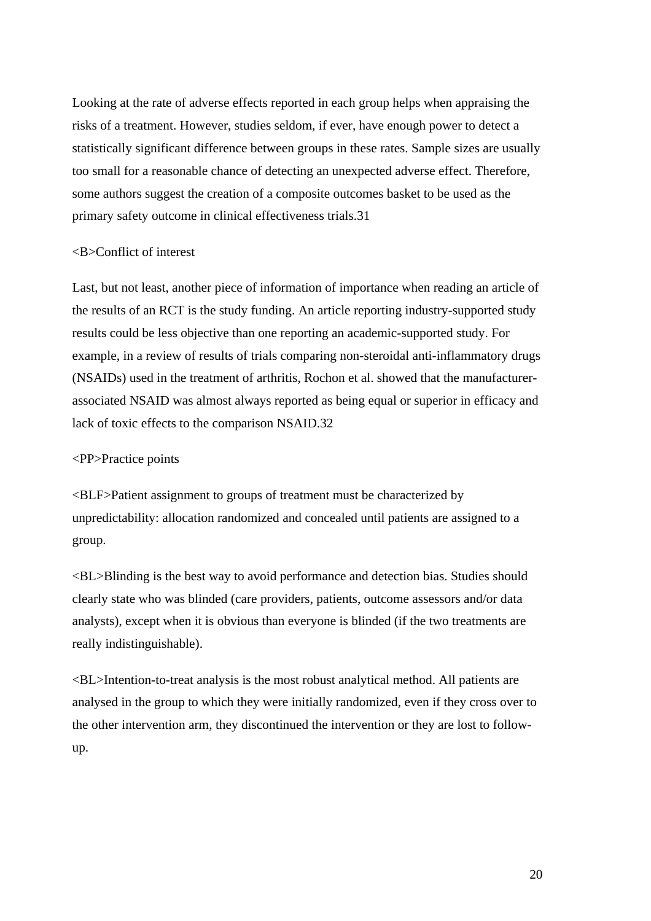Looking at the rate of adverse effects reported in each group helps when appraising the risks of a treatment. However, studies seldom, if ever, have enough power to detect a statistically significant difference between groups in these rates. Sample sizes are usually too small for a reasonable chance of detecting an unexpected adverse effect. Therefore, some authors suggest the creation of a composite outcomes basket to be used as the primary safety outcome in clinical effectiveness trials.31

# <B>Conflict of interest

Last, but not least, another piece of information of importance when reading an article of the results of an RCT is the study funding. An article reporting industry-supported study results could be less objective than one reporting an academic-supported study. For example, in a review of results of trials comparing non-steroidal anti-inflammatory drugs (NSAIDs) used in the treatment of arthritis, Rochon et al. showed that the manufacturerassociated NSAID was almost always reported as being equal or superior in efficacy and lack of toxic effects to the comparison NSAID.32

#### <PP>Practice points

<BLF>Patient assignment to groups of treatment must be characterized by unpredictability: allocation randomized and concealed until patients are assigned to a group.

<BL>Blinding is the best way to avoid performance and detection bias. Studies should clearly state who was blinded (care providers, patients, outcome assessors and/or data analysts), except when it is obvious than everyone is blinded (if the two treatments are really indistinguishable).

<BL>Intention-to-treat analysis is the most robust analytical method. All patients are analysed in the group to which they were initially randomized, even if they cross over to the other intervention arm, they discontinued the intervention or they are lost to followup.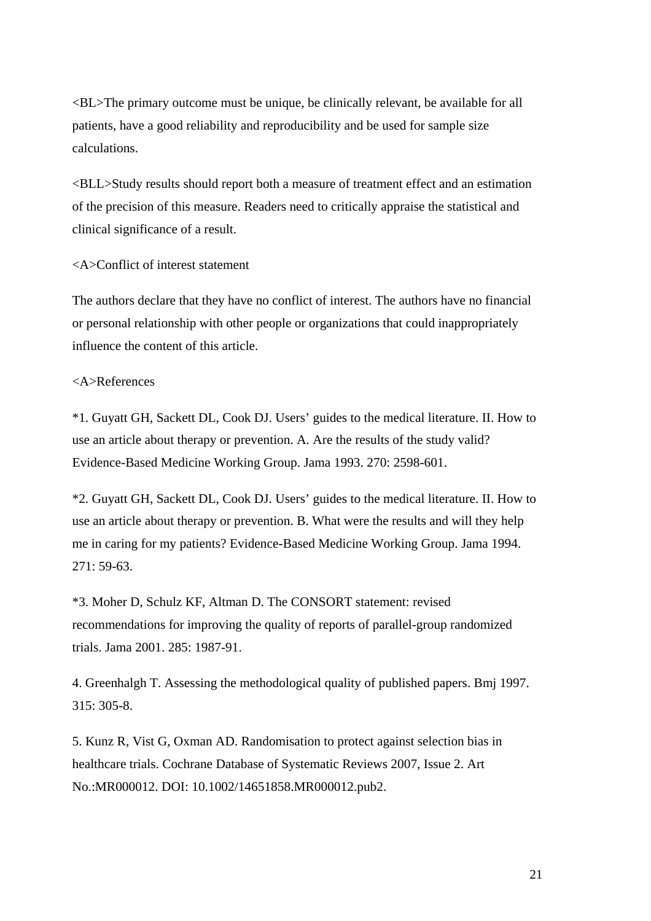<BL>The primary outcome must be unique, be clinically relevant, be available for all patients, have a good reliability and reproducibility and be used for sample size calculations.

<BLL>Study results should report both a measure of treatment effect and an estimation of the precision of this measure. Readers need to critically appraise the statistical and clinical significance of a result.

#### <A>Conflict of interest statement

The authors declare that they have no conflict of interest. The authors have no financial or personal relationship with other people or organizations that could inappropriately influence the content of this article.

# <A>References

\*1. Guyatt GH, Sackett DL, Cook DJ. Users' guides to the medical literature. II. How to use an article about therapy or prevention. A. Are the results of the study valid? Evidence-Based Medicine Working Group. Jama 1993. 270: 2598-601.

\*2. Guyatt GH, Sackett DL, Cook DJ. Users' guides to the medical literature. II. How to use an article about therapy or prevention. B. What were the results and will they help me in caring for my patients? Evidence-Based Medicine Working Group. Jama 1994. 271: 59-63.

\*3. Moher D, Schulz KF, Altman D. The CONSORT statement: revised recommendations for improving the quality of reports of parallel-group randomized trials. Jama 2001. 285: 1987-91.

4. Greenhalgh T. Assessing the methodological quality of published papers. Bmj 1997. 315: 305-8.

5. Kunz R, Vist G, Oxman AD. Randomisation to protect against selection bias in healthcare trials. Cochrane Database of Systematic Reviews 2007, Issue 2. Art No.:MR000012. DOI: 10.1002/14651858.MR000012.pub2.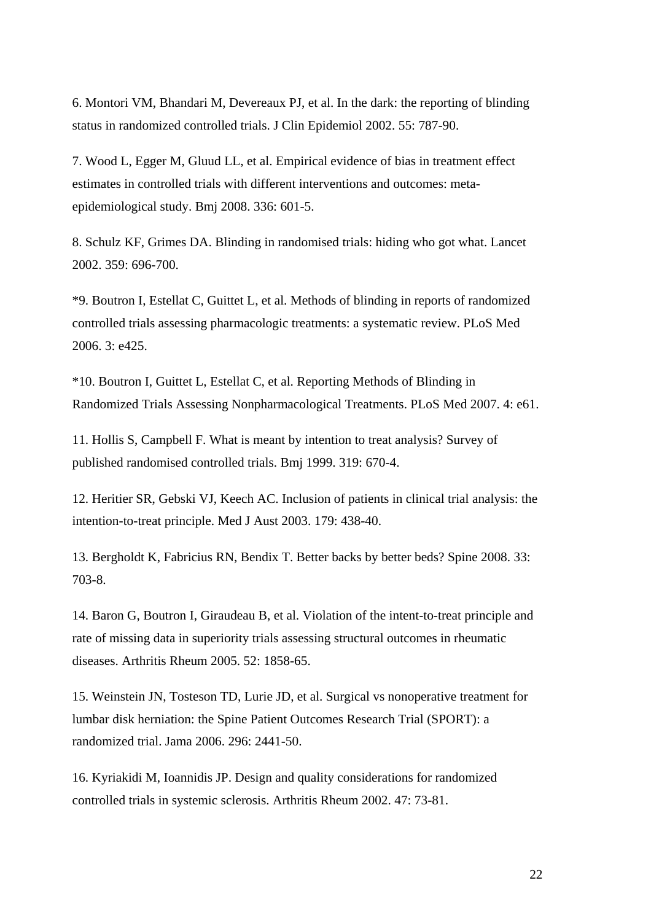6. Montori VM, Bhandari M, Devereaux PJ, et al. In the dark: the reporting of blinding status in randomized controlled trials. J Clin Epidemiol 2002. 55: 787-90.

7. Wood L, Egger M, Gluud LL, et al. Empirical evidence of bias in treatment effect estimates in controlled trials with different interventions and outcomes: metaepidemiological study. Bmj 2008. 336: 601-5.

8. Schulz KF, Grimes DA. Blinding in randomised trials: hiding who got what. Lancet 2002. 359: 696-700.

\*9. Boutron I, Estellat C, Guittet L, et al. Methods of blinding in reports of randomized controlled trials assessing pharmacologic treatments: a systematic review. PLoS Med 2006. 3: e425.

\*10. Boutron I, Guittet L, Estellat C, et al. Reporting Methods of Blinding in Randomized Trials Assessing Nonpharmacological Treatments. PLoS Med 2007. 4: e61.

11. Hollis S, Campbell F. What is meant by intention to treat analysis? Survey of published randomised controlled trials. Bmj 1999. 319: 670-4.

12. Heritier SR, Gebski VJ, Keech AC. Inclusion of patients in clinical trial analysis: the intention-to-treat principle. Med J Aust 2003. 179: 438-40.

13. Bergholdt K, Fabricius RN, Bendix T. Better backs by better beds? Spine 2008. 33: 703-8.

14. Baron G, Boutron I, Giraudeau B, et al. Violation of the intent-to-treat principle and rate of missing data in superiority trials assessing structural outcomes in rheumatic diseases. Arthritis Rheum 2005. 52: 1858-65.

15. Weinstein JN, Tosteson TD, Lurie JD, et al. Surgical vs nonoperative treatment for lumbar disk herniation: the Spine Patient Outcomes Research Trial (SPORT): a randomized trial. Jama 2006. 296: 2441-50.

16. Kyriakidi M, Ioannidis JP. Design and quality considerations for randomized controlled trials in systemic sclerosis. Arthritis Rheum 2002. 47: 73-81.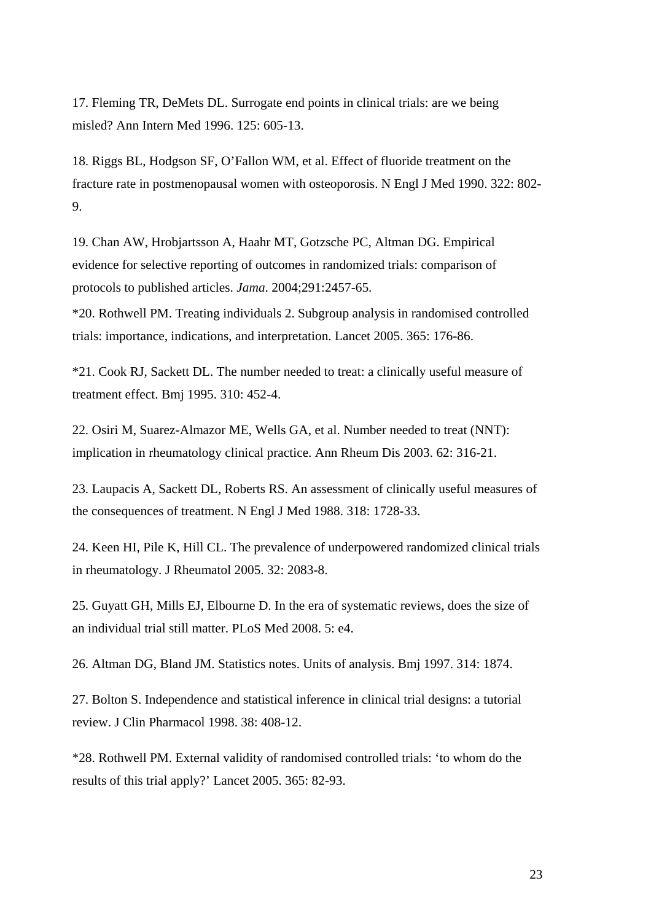17. Fleming TR, DeMets DL. Surrogate end points in clinical trials: are we being misled? Ann Intern Med 1996. 125: 605-13.

18. Riggs BL, Hodgson SF, O'Fallon WM, et al. Effect of fluoride treatment on the fracture rate in postmenopausal women with osteoporosis. N Engl J Med 1990. 322: 802- 9.

19. Chan AW, Hrobjartsson A, Haahr MT, Gotzsche PC, Altman DG. Empirical evidence for selective reporting of outcomes in randomized trials: comparison of protocols to published articles. *Jama*. 2004;291:2457-65.

\*20. Rothwell PM. Treating individuals 2. Subgroup analysis in randomised controlled trials: importance, indications, and interpretation. Lancet 2005. 365: 176-86.

\*21. Cook RJ, Sackett DL. The number needed to treat: a clinically useful measure of treatment effect. Bmj 1995. 310: 452-4.

22. Osiri M, Suarez-Almazor ME, Wells GA, et al. Number needed to treat (NNT): implication in rheumatology clinical practice. Ann Rheum Dis 2003. 62: 316-21.

23. Laupacis A, Sackett DL, Roberts RS. An assessment of clinically useful measures of the consequences of treatment. N Engl J Med 1988. 318: 1728-33.

24. Keen HI, Pile K, Hill CL. The prevalence of underpowered randomized clinical trials in rheumatology. J Rheumatol 2005. 32: 2083-8.

25. Guyatt GH, Mills EJ, Elbourne D. In the era of systematic reviews, does the size of an individual trial still matter. PLoS Med 2008. 5: e4.

26. Altman DG, Bland JM. Statistics notes. Units of analysis. Bmj 1997. 314: 1874.

27. Bolton S. Independence and statistical inference in clinical trial designs: a tutorial review. J Clin Pharmacol 1998. 38: 408-12.

\*28. Rothwell PM. External validity of randomised controlled trials: 'to whom do the results of this trial apply?' Lancet 2005. 365: 82-93.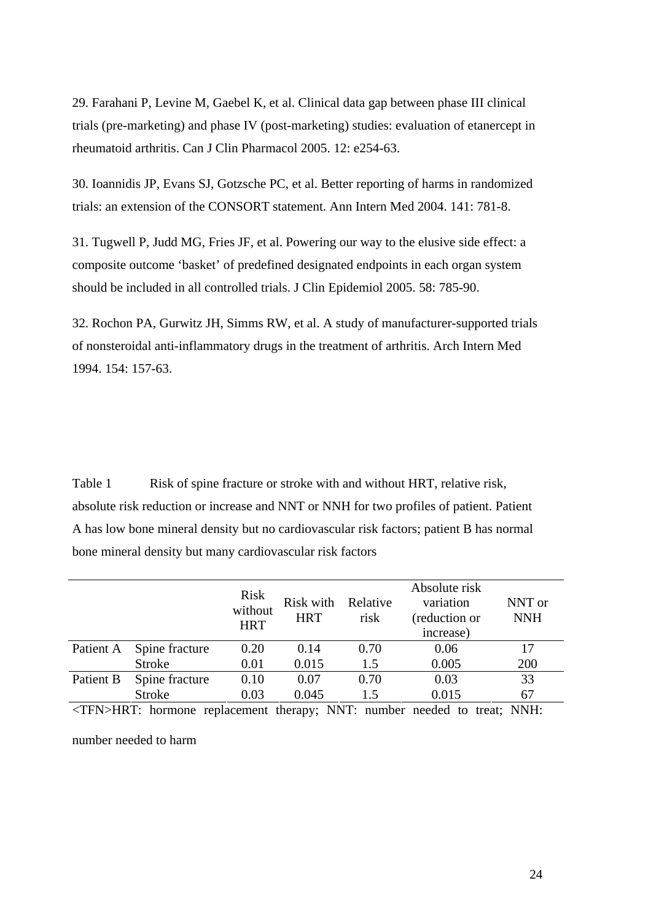29. Farahani P, Levine M, Gaebel K, et al. Clinical data gap between phase III clinical trials (pre-marketing) and phase IV (post-marketing) studies: evaluation of etanercept in rheumatoid arthritis. Can J Clin Pharmacol 2005. 12: e254-63.

30. Ioannidis JP, Evans SJ, Gotzsche PC, et al. Better reporting of harms in randomized trials: an extension of the CONSORT statement. Ann Intern Med 2004. 141: 781-8.

31. Tugwell P, Judd MG, Fries JF, et al. Powering our way to the elusive side effect: a composite outcome 'basket' of predefined designated endpoints in each organ system should be included in all controlled trials. J Clin Epidemiol 2005. 58: 785-90.

32. Rochon PA, Gurwitz JH, Simms RW, et al. A study of manufacturer-supported trials of nonsteroidal anti-inflammatory drugs in the treatment of arthritis. Arch Intern Med 1994. 154: 157-63.

Table 1 Risk of spine fracture or stroke with and without HRT, relative risk, absolute risk reduction or increase and NNT or NNH for two profiles of patient. Patient A has low bone mineral density but no cardiovascular risk factors; patient B has normal bone mineral density but many cardiovascular risk factors

|                   |                | <b>Risk</b><br>without<br><b>HRT</b> | Risk with<br><b>HRT</b> | Relative<br>risk | Absolute risk<br>variation<br>(reduction or<br>increase)                                                                                                                                                                                                                                                                           | NNT or<br><b>NNH</b> |
|-------------------|----------------|--------------------------------------|-------------------------|------------------|------------------------------------------------------------------------------------------------------------------------------------------------------------------------------------------------------------------------------------------------------------------------------------------------------------------------------------|----------------------|
| Patient A         | Spine fracture | 0.20                                 | 0.14                    | 0.70             | 0.06                                                                                                                                                                                                                                                                                                                               | 17                   |
|                   | <b>Stroke</b>  | 0.01                                 | 0.015                   | 1.5              | 0.005                                                                                                                                                                                                                                                                                                                              | 200                  |
| Patient B         | Spine fracture | 0.10                                 | 0.07                    | 0.70             | 0.03                                                                                                                                                                                                                                                                                                                               | 33                   |
|                   | <b>Stroke</b>  | 0.03                                 | 0.045                   | 1.5              | 0.015                                                                                                                                                                                                                                                                                                                              | 67                   |
| <b>THAIT ITDT</b> |                | $\mathbf{1}$                         | <b>A TA TED</b>         |                  | $\mathbf{1}$ $\mathbf{1}$ $\mathbf{1}$ $\mathbf{1}$ $\mathbf{1}$ $\mathbf{1}$ $\mathbf{1}$ $\mathbf{1}$ $\mathbf{1}$ $\mathbf{1}$ $\mathbf{1}$ $\mathbf{1}$ $\mathbf{1}$ $\mathbf{1}$ $\mathbf{1}$ $\mathbf{1}$ $\mathbf{1}$ $\mathbf{1}$ $\mathbf{1}$ $\mathbf{1}$ $\mathbf{1}$ $\mathbf{1}$ $\mathbf{1}$ $\mathbf{1}$ $\mathbf{$ | <b>ATATTT</b>        |

<TFN>HRT: hormone replacement therapy; NNT: number needed to treat; NNH: number needed to harm